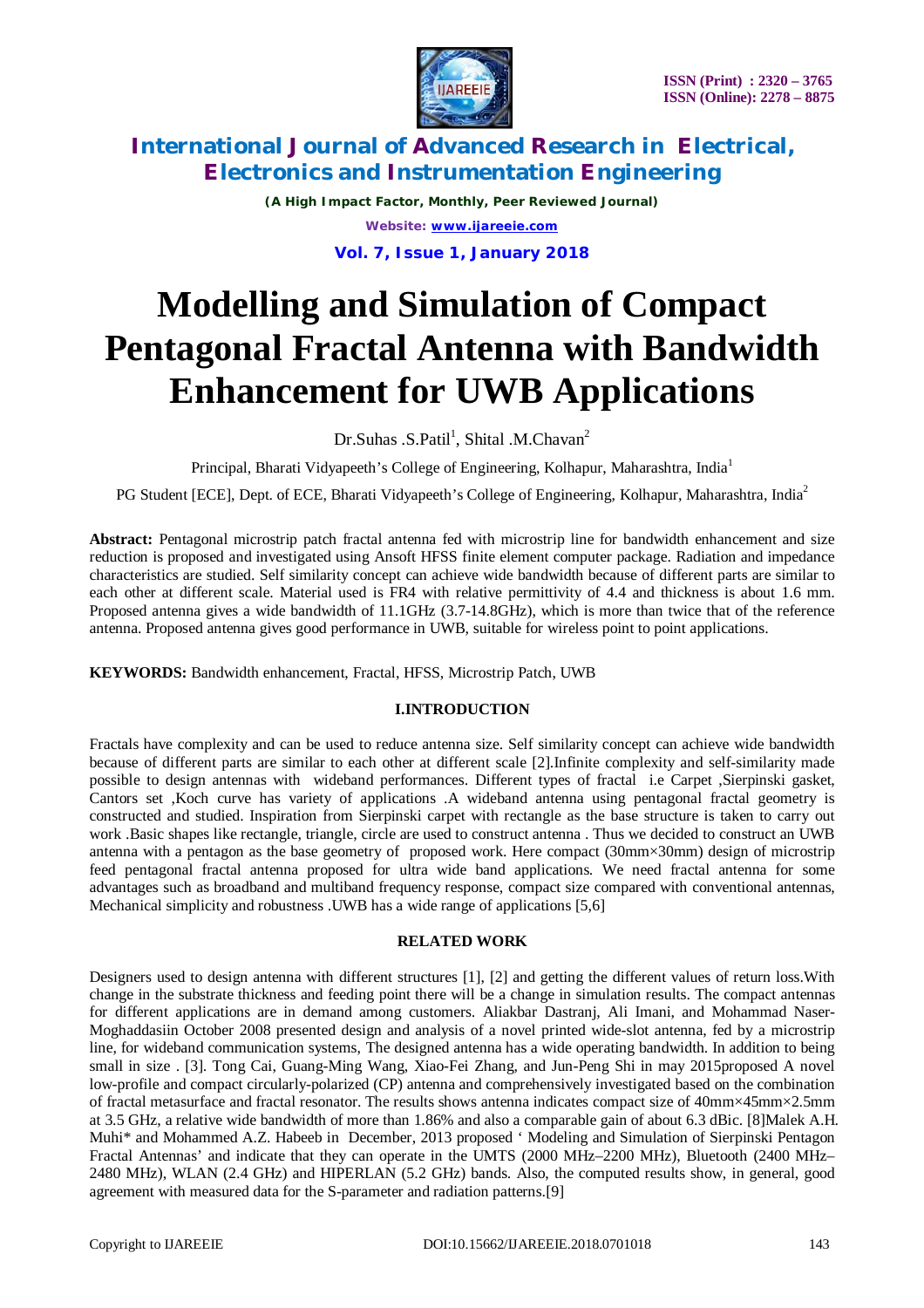

*(A High Impact Factor, Monthly, Peer Reviewed Journal) Website: [www.ijareeie.com](http://www.ijareeie.com)*

**Vol. 7, Issue 1, January 2018**

# **Modelling and Simulation of Compact Pentagonal Fractal Antenna with Bandwidth Enhancement for UWB Applications**

Dr.Suhas .S.Patil<sup>1</sup>, Shital .M.Chavan<sup>2</sup>

Principal, Bharati Vidyapeeth's College of Engineering, Kolhapur, Maharashtra, India<sup>1</sup>

PG Student [ECE], Dept. of ECE, Bharati Vidyapeeth's College of Engineering, Kolhapur, Maharashtra, India<sup>2</sup>

**Abstract:** Pentagonal microstrip patch fractal antenna fed with microstrip line for bandwidth enhancement and size reduction is proposed and investigated using Ansoft HFSS finite element computer package. Radiation and impedance characteristics are studied. Self similarity concept can achieve wide bandwidth because of different parts are similar to each other at different scale. Material used is FR4 with relative permittivity of 4.4 and thickness is about 1.6 mm. Proposed antenna gives a wide bandwidth of 11.1GHz (3.7-14.8GHz), which is more than twice that of the reference antenna. Proposed antenna gives good performance in UWB, suitable for wireless point to point applications.

**KEYWORDS:** Bandwidth enhancement, Fractal, HFSS, Microstrip Patch, UWB

#### **I.INTRODUCTION**

Fractals have complexity and can be used to reduce antenna size. Self similarity concept can achieve wide bandwidth because of different parts are similar to each other at different scale [2].Infinite complexity and self-similarity made possible to design antennas with wideband performances. Different types of fractal i.e Carpet ,Sierpinski gasket, Cantors set ,Koch curve has variety of applications .A wideband antenna using pentagonal fractal geometry is constructed and studied. Inspiration from Sierpinski carpet with rectangle as the base structure is taken to carry out work .Basic shapes like rectangle, triangle, circle are used to construct antenna . Thus we decided to construct an UWB antenna with a pentagon as the base geometry of proposed work. Here compact (30mm×30mm) design of microstrip feed pentagonal fractal antenna proposed for ultra wide band applications. We need fractal antenna for some advantages such as broadband and multiband frequency response, compact size compared with conventional antennas, Mechanical simplicity and robustness .UWB has a wide range of applications [5,6]

#### **RELATED WORK**

Designers used to design antenna with different structures [1], [2] and getting the different values of return loss.With change in the substrate thickness and feeding point there will be a change in simulation results. The compact antennas for different applications are in demand among customers. Aliakbar Dastranj, Ali Imani, and Mohammad Naser-Moghaddasiin October 2008 presented design and analysis of a novel printed wide-slot antenna, fed by a microstrip line, for wideband communication systems, The designed antenna has a wide operating bandwidth. In addition to being small in size . [3]. Tong Cai, Guang-Ming Wang, Xiao-Fei Zhang, and Jun-Peng Shi in may 2015proposed A novel low-profile and compact circularly-polarized (CP) antenna and comprehensively investigated based on the combination of fractal metasurface and fractal resonator. The results shows antenna indicates compact size of 40mm×45mm×2.5mm at 3.5 GHz, a relative wide bandwidth of more than 1.86% and also a comparable gain of about 6.3 dBic. [8]Malek A.H. Muhi\* and Mohammed A.Z. Habeeb in December, 2013 proposed ' Modeling and Simulation of Sierpinski Pentagon Fractal Antennas' and indicate that they can operate in the UMTS (2000 MHz–2200 MHz), Bluetooth (2400 MHz– 2480 MHz), WLAN (2.4 GHz) and HIPERLAN (5.2 GHz) bands. Also, the computed results show, in general, good agreement with measured data for the S-parameter and radiation patterns.[9]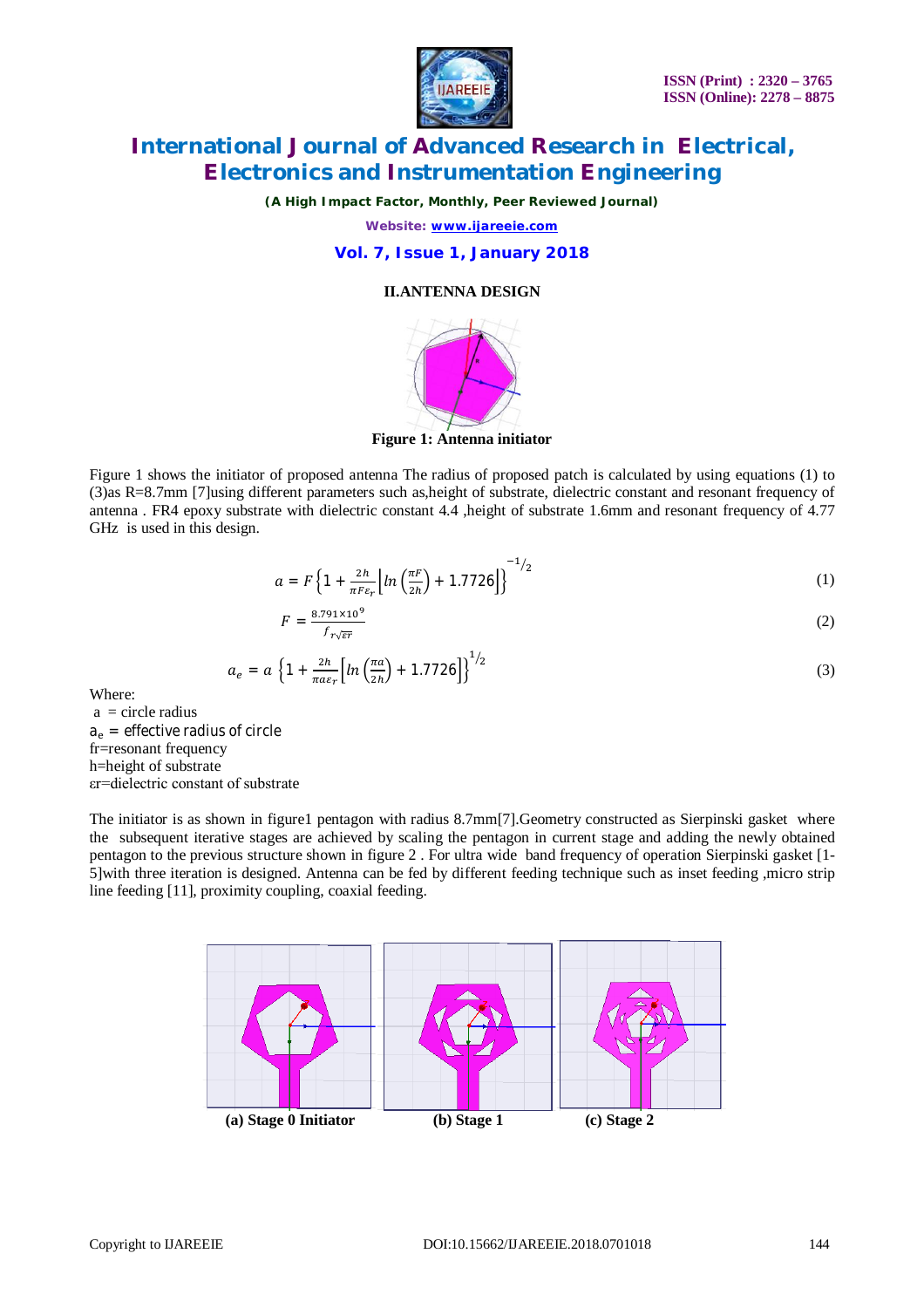

*(A High Impact Factor, Monthly, Peer Reviewed Journal)*

*Website: [www.ijareeie.com](http://www.ijareeie.com)*

#### **Vol. 7, Issue 1, January 2018**

#### **II.ANTENNA DESIGN**



**Figure 1: Antenna initiator**

Figure 1 shows the initiator of proposed antenna The radius of proposed patch is calculated by using equations (1) to (3)as R=8.7mm [7]using different parameters such as,height of substrate, dielectric constant and resonant frequency of antenna . FR4 epoxy substrate with dielectric constant 4.4 ,height of substrate 1.6mm and resonant frequency of 4.77 GHz is used in this design.

$$
a = F\left\{1 + \frac{2h}{\pi F \epsilon_r} \left[ ln\left(\frac{\pi F}{2h}\right) + 1.7726 \right] \right\}^{-1/2}
$$
 (1)

$$
F = \frac{8.791 \times 10^9}{f_{r\sqrt{\epsilon r}}} \tag{2}
$$

$$
a_e = a \left\{ 1 + \frac{2h}{\pi a \varepsilon_r} \left[ ln \left( \frac{\pi a}{2h} \right) + 1.7726 \right] \right\}^{1/2}
$$
\n
$$
\tag{3}
$$

Where:

 $a =$  circle radius  $a_e$  = effective radius of circle fr=resonant frequency h=height of substrate εr=dielectric constant of substrate

The initiator is as shown in figure1 pentagon with radius 8.7mm[7].Geometry constructed as Sierpinski gasket where the subsequent iterative stages are achieved by scaling the pentagon in current stage and adding the newly obtained pentagon to the previous structure shown in figure 2 . For ultra wide band frequency of operation Sierpinski gasket [1- 5]with three iteration is designed. Antenna can be fed by different feeding technique such as inset feeding ,micro strip line feeding [11], proximity coupling, coaxial feeding.

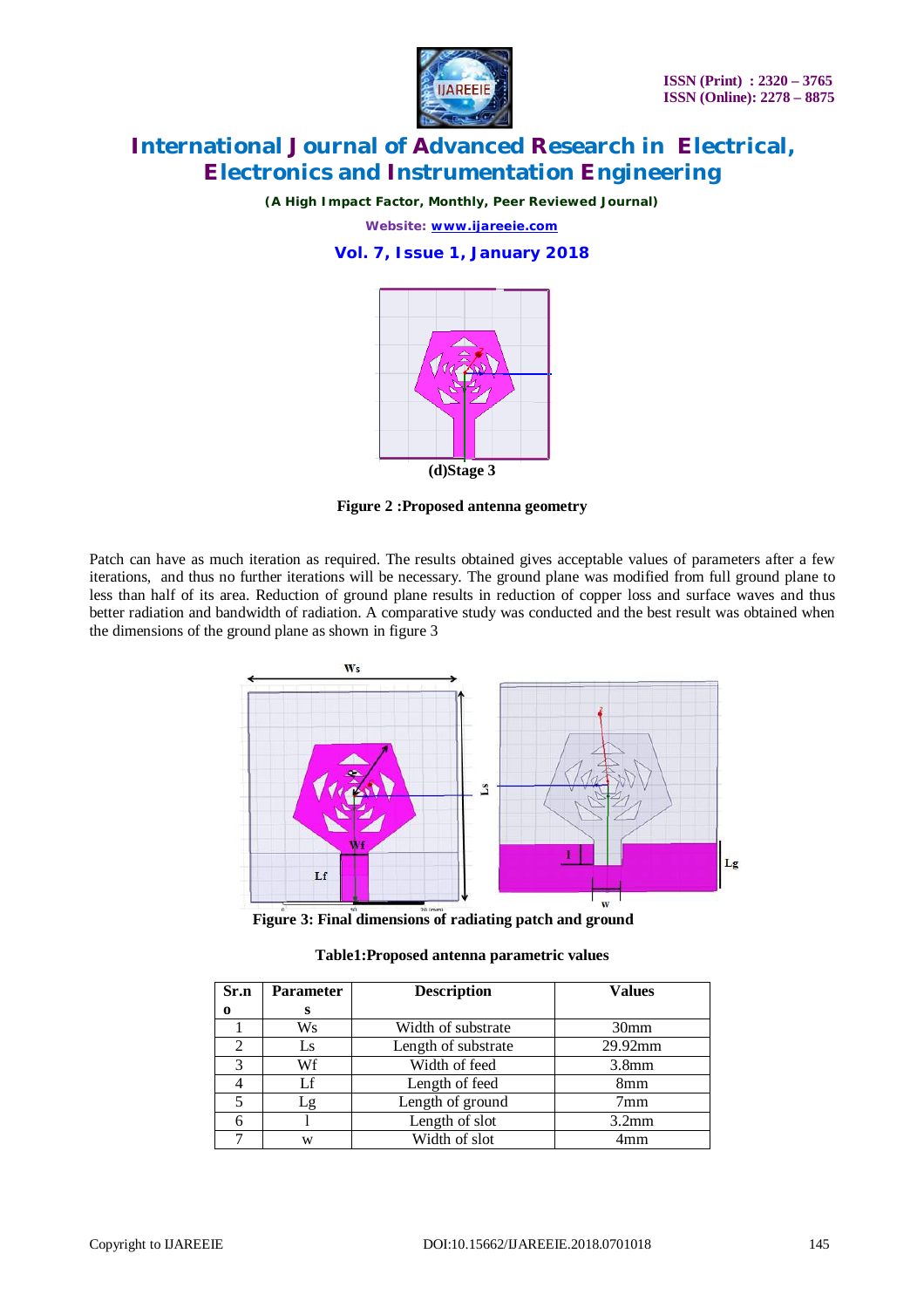

*(A High Impact Factor, Monthly, Peer Reviewed Journal)*

*Website: [www.ijareeie.com](http://www.ijareeie.com)*

**Vol. 7, Issue 1, January 2018**



**Figure 2 :Proposed antenna geometry**

Patch can have as much iteration as required. The results obtained gives acceptable values of parameters after a few iterations, and thus no further iterations will be necessary. The ground plane was modified from full ground plane to less than half of its area. Reduction of ground plane results in reduction of copper loss and surface waves and thus better radiation and bandwidth of radiation. A comparative study was conducted and the best result was obtained when the dimensions of the ground plane as shown in figure 3



 **Figure 3: Final dimensions of radiating patch and ground**

| Table1:Proposed antenna parametric values |  |  |  |
|-------------------------------------------|--|--|--|
|-------------------------------------------|--|--|--|

| Sr.n | <b>Parameter</b> | <b>Description</b>  | <b>Values</b>    |
|------|------------------|---------------------|------------------|
| 0    | s                |                     |                  |
|      | Ws               | Width of substrate  | 30 <sub>mm</sub> |
|      | Ls               | Length of substrate | 29.92mm          |
|      | Wf               | Width of feed       | 3.8mm            |
|      | Lf               | Length of feed      | 8 <sub>mm</sub>  |
|      | -g               | Length of ground    | 7 <sub>mm</sub>  |
|      |                  | Length of slot      | 3.2mm            |
|      | W                | Width of slot       | 4mm              |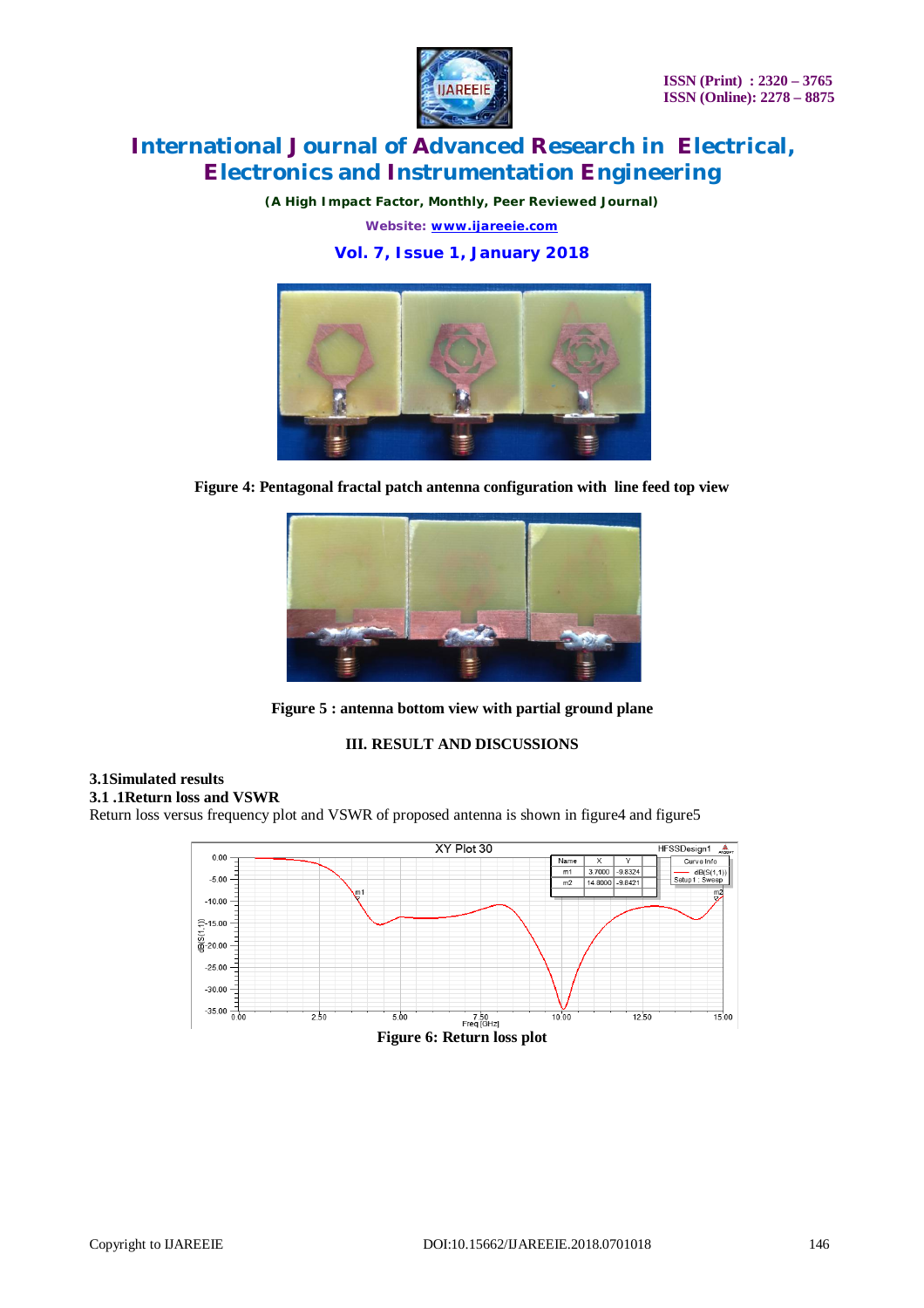

*(A High Impact Factor, Monthly, Peer Reviewed Journal)*

*Website: [www.ijareeie.com](http://www.ijareeie.com)*

**Vol. 7, Issue 1, January 2018**



**Figure 4: Pentagonal fractal patch antenna configuration with line feed top view**



**Figure 5 : antenna bottom view with partial ground plane**

#### **III. RESULT AND DISCUSSIONS**

### **3.1Simulated results**

**3.1 .1Return loss and VSWR**

Return loss versus frequency plot and VSWR of proposed antenna is shown in figure4 and figure5

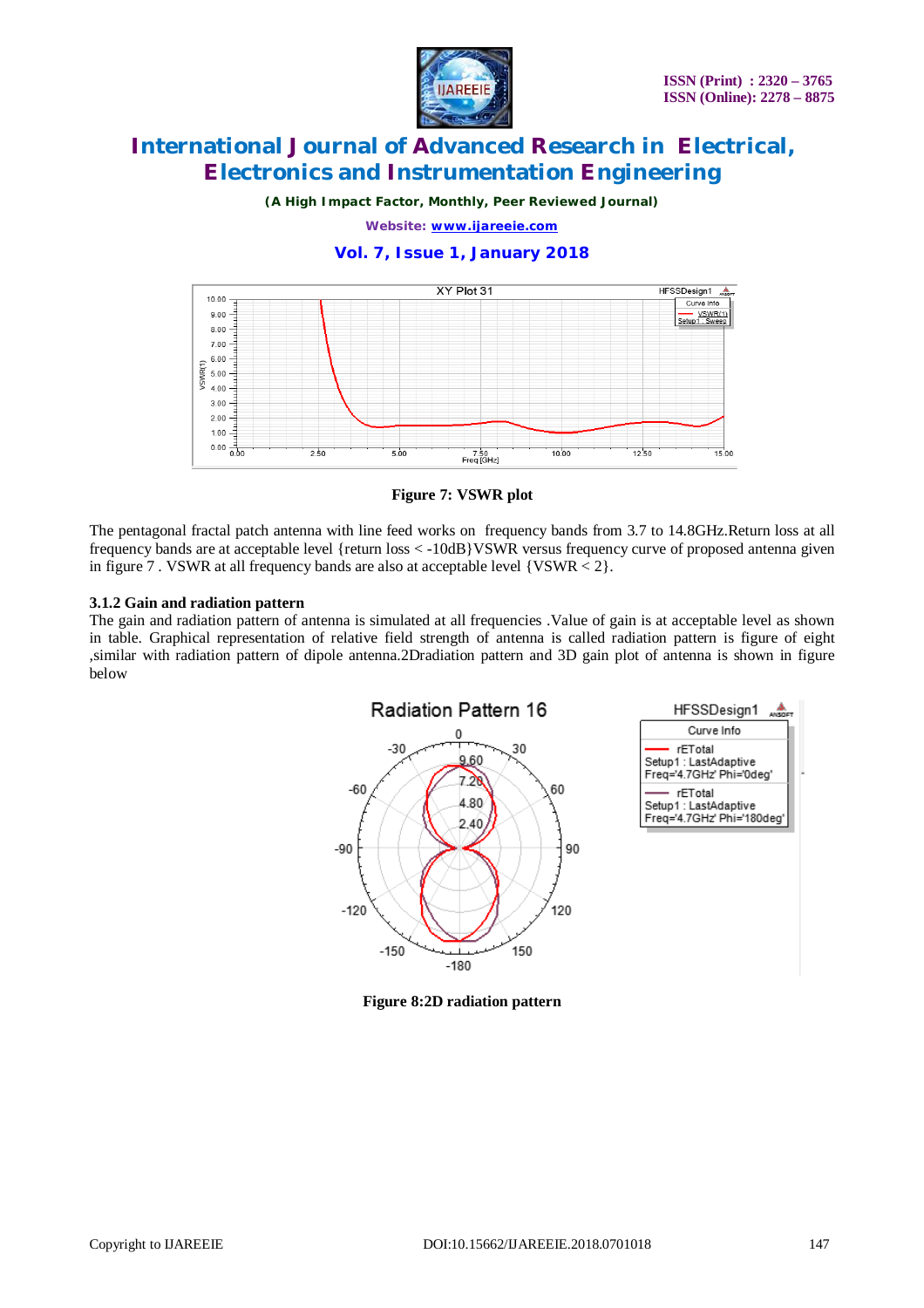

*(A High Impact Factor, Monthly, Peer Reviewed Journal)*

*Website: [www.ijareeie.com](http://www.ijareeie.com)*

#### **Vol. 7, Issue 1, January 2018**



**Figure 7: VSWR plot**

The pentagonal fractal patch antenna with line feed works on frequency bands from 3.7 to 14.8GHz.Return loss at all frequency bands are at acceptable level {return loss < -10dB}VSWR versus frequency curve of proposed antenna given in figure 7 . VSWR at all frequency bands are also at acceptable level {VSWR < 2}.

#### **3.1.2 Gain and radiation pattern**

The gain and radiation pattern of antenna is simulated at all frequencies .Value of gain is at acceptable level as shown in table. Graphical representation of relative field strength of antenna is called radiation pattern is figure of eight ,similar with radiation pattern of dipole antenna.2Dradiation pattern and 3D gain plot of antenna is shown in figure below



**Figure 8:2D radiation pattern**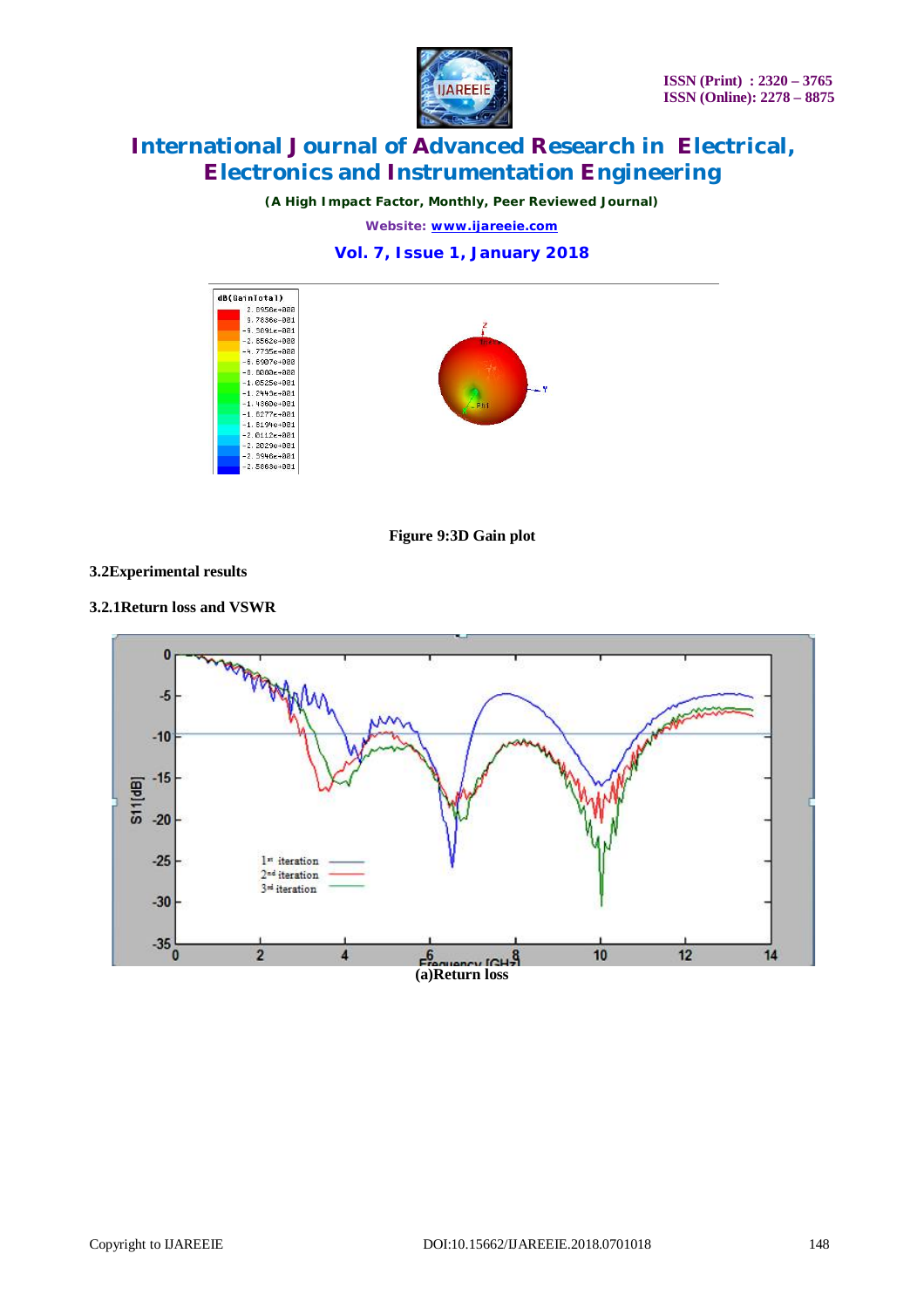

*(A High Impact Factor, Monthly, Peer Reviewed Journal)*

*Website: [www.ijareeie.com](http://www.ijareeie.com)*

#### **Vol. 7, Issue 1, January 2018**



**Figure 9:3D Gain plot**

#### **3.2Experimental results**

**3.2.1Return loss and VSWR**

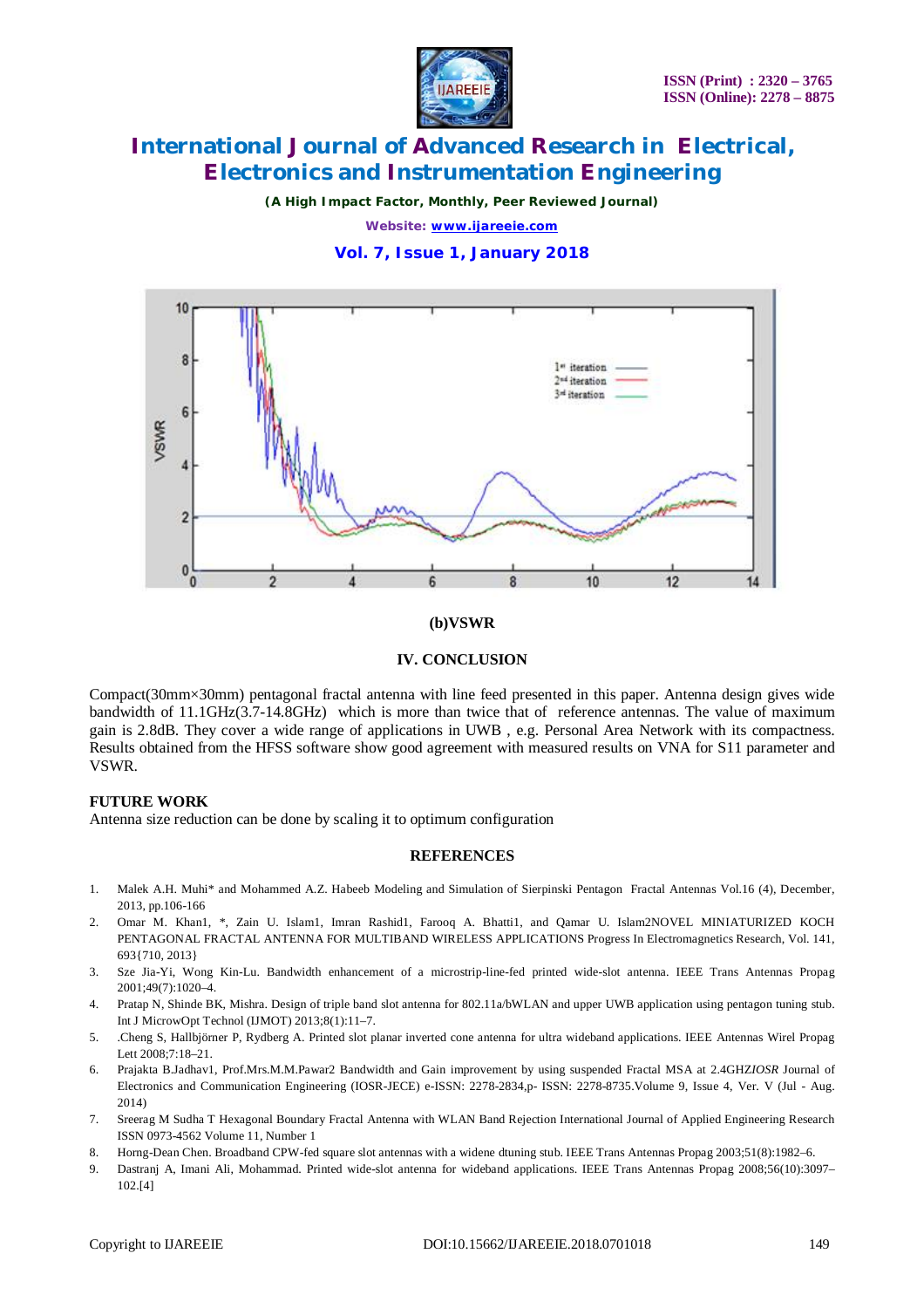

*(A High Impact Factor, Monthly, Peer Reviewed Journal)*

*Website: [www.ijareeie.com](http://www.ijareeie.com)*

#### **Vol. 7, Issue 1, January 2018**



#### **(b)VSWR**

#### **IV. CONCLUSION**

Compact(30mm×30mm) pentagonal fractal antenna with line feed presented in this paper. Antenna design gives wide bandwidth of 11.1GHz(3.7-14.8GHz) which is more than twice that of reference antennas. The value of maximum gain is 2.8dB. They cover a wide range of applications in UWB , e.g. Personal Area Network with its compactness. Results obtained from the HFSS software show good agreement with measured results on VNA for S11 parameter and VSWR.

#### **FUTURE WORK**

Antenna size reduction can be done by scaling it to optimum configuration

#### **REFERENCES**

- 1. Malek A.H. Muhi\* and Mohammed A.Z. Habeeb Modeling and Simulation of Sierpinski Pentagon Fractal Antennas Vol.16 (4), December, 2013, pp.106-166
- 2. Omar M. Khan1, \*, Zain U. Islam1, Imran Rashid1, Farooq A. Bhatti1, and Qamar U. Islam2NOVEL MINIATURIZED KOCH PENTAGONAL FRACTAL ANTENNA FOR MULTIBAND WIRELESS APPLICATIONS Progress In Electromagnetics Research, Vol. 141, 693{710, 2013}
- 3. Sze Jia-Yi, Wong Kin-Lu. Bandwidth enhancement of a microstrip-line-fed printed wide-slot antenna. IEEE Trans Antennas Propag 2001;49(7):1020–4.
- 4. Pratap N, Shinde BK, Mishra. Design of triple band slot antenna for 802.11a/bWLAN and upper UWB application using pentagon tuning stub. Int J MicrowOpt Technol (IJMOT) 2013;8(1):11–7.
- 5. .Cheng S, Hallbjörner P, Rydberg A. Printed slot planar inverted cone antenna for ultra wideband applications. IEEE Antennas Wirel Propag Lett 2008;7:18–21.
- 6. Prajakta B.Jadhav1, Prof.Mrs.M.M.Pawar2 Bandwidth and Gain improvement by using suspended Fractal MSA at 2.4GHZ*IOSR* Journal of Electronics and Communication Engineering (IOSR-JECE) e-ISSN: 2278-2834,p- ISSN: 2278-8735.Volume 9, Issue 4, Ver. V (Jul - Aug. 2014)
- 7. Sreerag M Sudha T Hexagonal Boundary Fractal Antenna with WLAN Band Rejection International Journal of Applied Engineering Research ISSN 0973-4562 Volume 11, Number 1
- 8. Horng-Dean Chen. Broadband CPW-fed square slot antennas with a widene dtuning stub. IEEE Trans Antennas Propag 2003;51(8):1982–6.
- 9. Dastranj A, Imani Ali, Mohammad. Printed wide-slot antenna for wideband applications. IEEE Trans Antennas Propag 2008;56(10):3097– 102.[4]